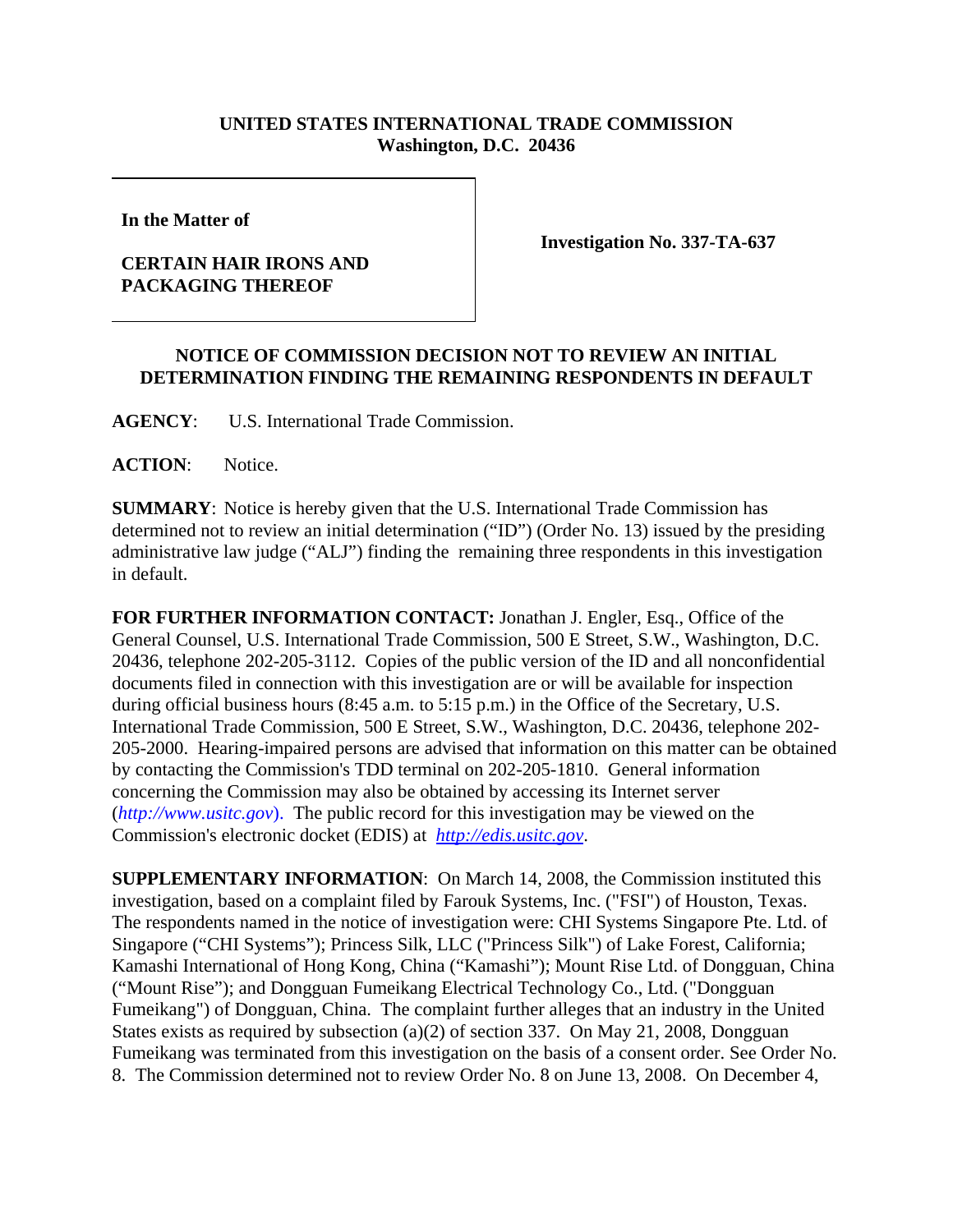## **UNITED STATES INTERNATIONAL TRADE COMMISSION Washington, D.C. 20436**

**In the Matter of** 

## **CERTAIN HAIR IRONS AND PACKAGING THEREOF**

**Investigation No. 337-TA-637**

## **NOTICE OF COMMISSION DECISION NOT TO REVIEW AN INITIAL DETERMINATION FINDING THE REMAINING RESPONDENTS IN DEFAULT**

**AGENCY**: U.S. International Trade Commission.

**ACTION**: Notice.

**SUMMARY**: Notice is hereby given that the U.S. International Trade Commission has determined not to review an initial determination ("ID") (Order No. 13) issued by the presiding administrative law judge ("ALJ") finding the remaining three respondents in this investigation in default.

**FOR FURTHER INFORMATION CONTACT:** Jonathan J. Engler, Esq., Office of the General Counsel, U.S. International Trade Commission, 500 E Street, S.W., Washington, D.C. 20436, telephone 202-205-3112. Copies of the public version of the ID and all nonconfidential documents filed in connection with this investigation are or will be available for inspection during official business hours (8:45 a.m. to 5:15 p.m.) in the Office of the Secretary, U.S. International Trade Commission, 500 E Street, S.W., Washington, D.C. 20436, telephone 202- 205-2000. Hearing-impaired persons are advised that information on this matter can be obtained by contacting the Commission's TDD terminal on 202-205-1810. General information concerning the Commission may also be obtained by accessing its Internet server (*http://www.usitc.gov*). The public record for this investigation may be viewed on the Commission's electronic docket (EDIS) at *http://edis.usitc.gov*.

**SUPPLEMENTARY INFORMATION**: On March 14, 2008, the Commission instituted this investigation, based on a complaint filed by Farouk Systems, Inc. ("FSI") of Houston, Texas. The respondents named in the notice of investigation were: CHI Systems Singapore Pte. Ltd. of Singapore ("CHI Systems"); Princess Silk, LLC ("Princess Silk") of Lake Forest, California; Kamashi International of Hong Kong, China ("Kamashi"); Mount Rise Ltd. of Dongguan, China ("Mount Rise"); and Dongguan Fumeikang Electrical Technology Co., Ltd. ("Dongguan Fumeikang") of Dongguan, China. The complaint further alleges that an industry in the United States exists as required by subsection (a)(2) of section 337. On May 21, 2008, Dongguan Fumeikang was terminated from this investigation on the basis of a consent order. See Order No. 8. The Commission determined not to review Order No. 8 on June 13, 2008. On December 4,